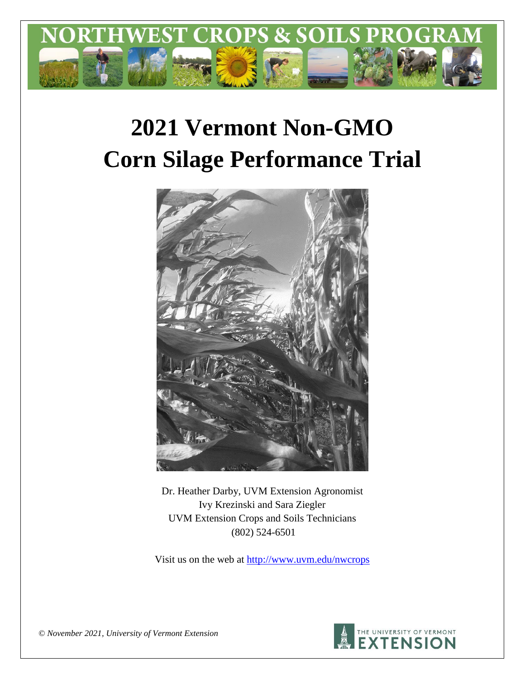

# **2021 Vermont Non-GMO Corn Silage Performance Trial**



Dr. Heather Darby, UVM Extension Agronomist Ivy Krezinski and Sara Ziegler UVM Extension Crops and Soils Technicians (802) 524-6501

Visit us on the web at <http://www.uvm.edu/nwcrops>



*© November 2021, University of Vermont Extension*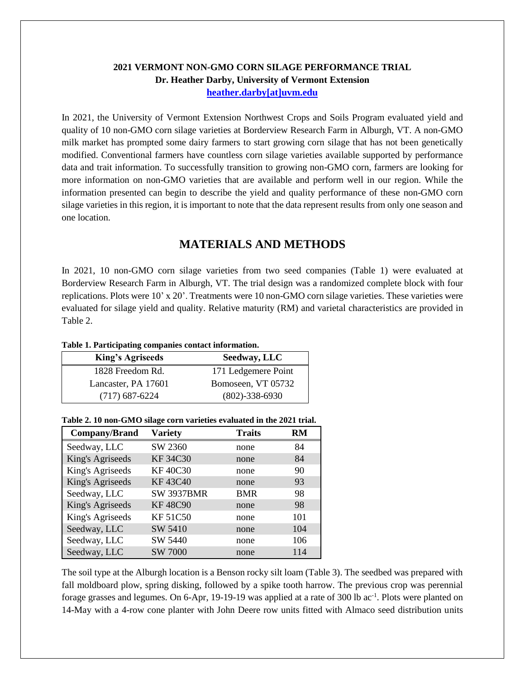### **2021 VERMONT NON-GMO CORN SILAGE PERFORMANCE TRIAL Dr. Heather Darby, University of Vermont Extension [heather.darby\[at\]uvm.edu](mailto:heather.darby@uvm.edu?subject=2013%20Long%20Season%20Corn%20Report)**

In 2021, the University of Vermont Extension Northwest Crops and Soils Program evaluated yield and quality of 10 non-GMO corn silage varieties at Borderview Research Farm in Alburgh, VT. A non-GMO milk market has prompted some dairy farmers to start growing corn silage that has not been genetically modified. Conventional farmers have countless corn silage varieties available supported by performance data and trait information. To successfully transition to growing non-GMO corn, farmers are looking for more information on non-GMO varieties that are available and perform well in our region. While the information presented can begin to describe the yield and quality performance of these non-GMO corn silage varieties in this region, it is important to note that the data represent results from only one season and one location.

## **MATERIALS AND METHODS**

In 2021, 10 non-GMO corn silage varieties from two seed companies (Table 1) were evaluated at Borderview Research Farm in Alburgh, VT. The trial design was a randomized complete block with four replications. Plots were 10' x 20'. Treatments were 10 non-GMO corn silage varieties. These varieties were evaluated for silage yield and quality. Relative maturity (RM) and varietal characteristics are provided in Table 2.

#### **Table 1. Participating companies contact information.**

| <b>King's Agriseeds</b> | Seedway, LLC         |
|-------------------------|----------------------|
| 1828 Freedom Rd.        | 171 Ledgemere Point  |
| Lancaster, PA 17601     | Bomoseen, VT 05732   |
| $(717)$ 687-6224        | $(802) - 338 - 6930$ |

| Company/Brand    | <b>Variety</b>    | <b>Traits</b> | RM  |
|------------------|-------------------|---------------|-----|
| Seedway, LLC     | SW 2360           | none          | 84  |
| King's Agriseeds | <b>KF34C30</b>    | none          | 84  |
| King's Agriseeds | <b>KF40C30</b>    | none          | 90  |
| King's Agriseeds | <b>KF43C40</b>    | none          | 93  |
| Seedway, LLC     | <b>SW 3937BMR</b> | <b>BMR</b>    | 98  |
| King's Agriseeds | <b>KF48C90</b>    | none          | 98  |
| King's Agriseeds | <b>KF51C50</b>    | none          | 101 |
| Seedway, LLC     | SW 5410           | none          | 104 |
| Seedway, LLC     | SW 5440           | none          | 106 |
| Seedway, LLC     | SW 7000           | none          | 114 |

#### **Table 2. 10 non-GMO silage corn varieties evaluated in the 2021 trial.**

The soil type at the Alburgh location is a Benson rocky silt loam (Table 3). The seedbed was prepared with fall moldboard plow, spring disking, followed by a spike tooth harrow. The previous crop was perennial forage grasses and legumes. On 6-Apr, 19-19-19 was applied at a rate of 300 lb ac<sup>-1</sup>. Plots were planted on 14-May with a 4-row cone planter with John Deere row units fitted with Almaco seed distribution units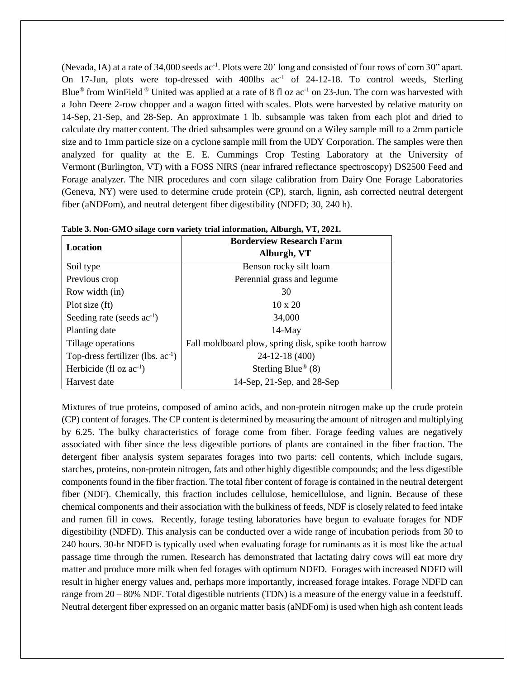(Nevada, IA) at a rate of 34,000 seeds ac<sup>-1</sup>. Plots were 20' long and consisted of four rows of corn 30" apart. On 17-Jun, plots were top-dressed with 400lbs  $ac^{-1}$  of 24-12-18. To control weeds, Sterling Blue<sup>®</sup> from WinField <sup>®</sup> United was applied at a rate of 8 fl oz ac<sup>-1</sup> on 23-Jun. The corn was harvested with a John Deere 2-row chopper and a wagon fitted with scales. Plots were harvested by relative maturity on 14-Sep, 21-Sep, and 28-Sep. An approximate 1 lb. subsample was taken from each plot and dried to calculate dry matter content. The dried subsamples were ground on a Wiley sample mill to a 2mm particle size and to 1mm particle size on a cyclone sample mill from the UDY Corporation. The samples were then analyzed for quality at the E. E. Cummings Crop Testing Laboratory at the University of Vermont (Burlington, VT) with a FOSS NIRS (near infrared reflectance spectroscopy) DS2500 Feed and Forage analyzer. The NIR procedures and corn silage calibration from Dairy One Forage Laboratories (Geneva, NY) were used to determine crude protein (CP), starch, lignin, ash corrected neutral detergent fiber (aNDFom), and neutral detergent fiber digestibility (NDFD; 30, 240 h).

| Location                               | <b>Borderview Research Farm</b><br>Alburgh, VT       |  |  |  |  |
|----------------------------------------|------------------------------------------------------|--|--|--|--|
| Soil type                              | Benson rocky silt loam                               |  |  |  |  |
| Previous crop                          | Perennial grass and legume                           |  |  |  |  |
| Row width (in)                         | 30                                                   |  |  |  |  |
| Plot size (ft)                         | $10 \times 20$                                       |  |  |  |  |
| Seeding rate (seeds $ac^{-1}$ )        | 34,000                                               |  |  |  |  |
| Planting date                          | $14$ -May                                            |  |  |  |  |
| Tillage operations                     | Fall moldboard plow, spring disk, spike tooth harrow |  |  |  |  |
| Top-dress fertilizer (lbs. $ac^{-1}$ ) | 24-12-18 (400)                                       |  |  |  |  |
| Herbicide (fl oz $ac^{-1}$ )           | Sterling Blue <sup>®</sup> (8)                       |  |  |  |  |
| Harvest date                           | 14-Sep, $21$ -Sep, and $28$ -Sep                     |  |  |  |  |

**Table 3. Non-GMO silage corn variety trial information, Alburgh, VT, 2021.**

Mixtures of true proteins, composed of amino acids, and non-protein nitrogen make up the crude protein (CP) content of forages. The CP content is determined by measuring the amount of nitrogen and multiplying by 6.25. The bulky characteristics of forage come from fiber. Forage feeding values are negatively associated with fiber since the less digestible portions of plants are contained in the fiber fraction. The detergent fiber analysis system separates forages into two parts: cell contents, which include sugars, starches, proteins, non-protein nitrogen, fats and other highly digestible compounds; and the less digestible components found in the fiber fraction. The total fiber content of forage is contained in the neutral detergent fiber (NDF). Chemically, this fraction includes cellulose, hemicellulose, and lignin. Because of these chemical components and their association with the bulkiness of feeds, NDF is closely related to feed intake and rumen fill in cows. Recently, forage testing laboratories have begun to evaluate forages for NDF digestibility (NDFD). This analysis can be conducted over a wide range of incubation periods from 30 to 240 hours. 30-hr NDFD is typically used when evaluating forage for ruminants as it is most like the actual passage time through the rumen. Research has demonstrated that lactating dairy cows will eat more dry matter and produce more milk when fed forages with optimum NDFD. Forages with increased NDFD will result in higher energy values and, perhaps more importantly, increased forage intakes. Forage NDFD can range from 20 – 80% NDF. Total digestible nutrients (TDN) is a measure of the energy value in a feedstuff. Neutral detergent fiber expressed on an organic matter basis (aNDFom) is used when high ash content leads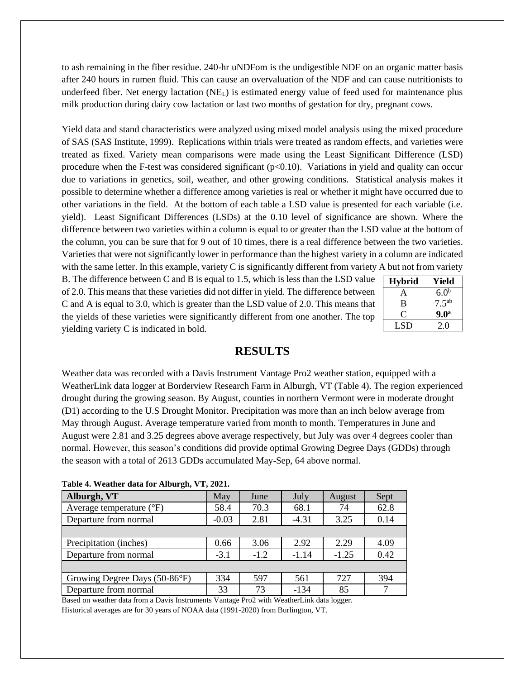to ash remaining in the fiber residue. 240-hr uNDFom is the undigestible NDF on an organic matter basis after 240 hours in rumen fluid. This can cause an overvaluation of the NDF and can cause nutritionists to underfeed fiber. Net energy lactation  $(NE<sub>L</sub>)$  is estimated energy value of feed used for maintenance plus milk production during dairy cow lactation or last two months of gestation for dry, pregnant cows.

Yield data and stand characteristics were analyzed using mixed model analysis using the mixed procedure of SAS (SAS Institute, 1999). Replications within trials were treated as random effects, and varieties were treated as fixed. Variety mean comparisons were made using the Least Significant Difference (LSD) procedure when the F-test was considered significant  $(p<0.10)$ . Variations in yield and quality can occur due to variations in genetics, soil, weather, and other growing conditions. Statistical analysis makes it possible to determine whether a difference among varieties is real or whether it might have occurred due to other variations in the field. At the bottom of each table a LSD value is presented for each variable (i.e. yield). Least Significant Differences (LSDs) at the 0.10 level of significance are shown. Where the difference between two varieties within a column is equal to or greater than the LSD value at the bottom of the column, you can be sure that for 9 out of 10 times, there is a real difference between the two varieties. Varieties that were not significantly lower in performance than the highest variety in a column are indicated with the same letter. In this example, variety C is significantly different from variety A but not from variety

B. The difference between C and B is equal to 1.5, which is less than the LSD value of 2.0. This means that these varieties did not differ in yield. The difference between C and A is equal to 3.0, which is greater than the LSD value of 2.0. This means that the yields of these varieties were significantly different from one another. The top yielding variety C is indicated in bold.

| <b>Hybrid</b> | Yield            |
|---------------|------------------|
| A             | 6.0 <sup>b</sup> |
| B             | $7.5^{ab}$       |
| U,            | 9.0 <sup>a</sup> |
| LSD           | 20               |

## **RESULTS**

Weather data was recorded with a Davis Instrument Vantage Pro2 weather station, equipped with a WeatherLink data logger at Borderview Research Farm in Alburgh, VT (Table 4). The region experienced drought during the growing season. By August, counties in northern Vermont were in moderate drought (D1) according to the U.S Drought Monitor. Precipitation was more than an inch below average from May through August. Average temperature varied from month to month. Temperatures in June and August were 2.81 and 3.25 degrees above average respectively, but July was over 4 degrees cooler than normal. However, this season's conditions did provide optimal Growing Degree Days (GDDs) through the season with a total of 2613 GDDs accumulated May-Sep, 64 above normal.

| $1400 \div 7$ , wealing that for through, we want |         |        |         |                |      |  |  |  |  |
|---------------------------------------------------|---------|--------|---------|----------------|------|--|--|--|--|
| Alburgh, VT                                       | May     | June   |         | July<br>August |      |  |  |  |  |
| Average temperature $(^{\circ}F)$                 | 58.4    | 70.3   | 68.1    | 74             | 62.8 |  |  |  |  |
| Departure from normal                             | $-0.03$ | 2.81   | $-4.31$ | 3.25           | 0.14 |  |  |  |  |
|                                                   |         |        |         |                |      |  |  |  |  |
| Precipitation (inches)                            | 0.66    | 3.06   | 2.92    | 2.29           | 4.09 |  |  |  |  |
| Departure from normal                             | $-3.1$  | $-1.2$ | $-1.14$ | $-1.25$        | 0.42 |  |  |  |  |
|                                                   |         |        |         |                |      |  |  |  |  |
| Growing Degree Days (50-86°F)                     | 334     | 597    | 561     | 727            | 394  |  |  |  |  |
| Departure from normal                             | 33      | 73     | $-134$  | 85             | 7    |  |  |  |  |

**Table 4. Weather data for Alburgh, VT, 2021.**

Based on weather data from a Davis Instruments Vantage Pro2 with WeatherLink data logger. Historical averages are for 30 years of NOAA data (1991-2020) from Burlington, VT.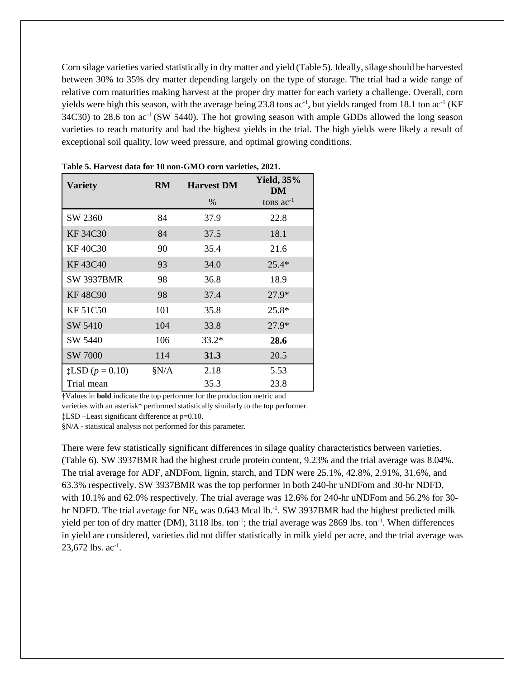Corn silage varieties varied statistically in dry matter and yield (Table 5). Ideally, silage should be harvested between 30% to 35% dry matter depending largely on the type of storage. The trial had a wide range of relative corn maturities making harvest at the proper dry matter for each variety a challenge. Overall, corn yields were high this season, with the average being 23.8 tons  $ac^{-1}$ , but yields ranged from 18.1 ton  $ac^{-1}$  (KF  $34C30$ ) to 28.6 ton  $ac^{-1}$  (SW 5440). The hot growing season with ample GDDs allowed the long season varieties to reach maturity and had the highest yields in the trial. The high yields were likely a result of exceptional soil quality, low weed pressure, and optimal growing conditions.

| <b>Variety</b>              | <b>RM</b> | <b>Harvest DM</b> | <b>Yield, 35%</b><br>DM |
|-----------------------------|-----------|-------------------|-------------------------|
|                             |           | %                 | tons $ac^{-1}$          |
| SW 2360                     | 84        | 37.9              | 22.8                    |
| <b>KF34C30</b>              | 84        | 37.5              | 18.1                    |
| <b>KF40C30</b>              | 90        | 35.4              | 21.6                    |
| <b>KF43C40</b>              | 93        | 34.0              | $25.4*$                 |
| <b>SW 3937BMR</b>           | 98        | 36.8              | 18.9                    |
| <b>KF48C90</b>              | 98        | 37.4              | $27.9*$                 |
| <b>KF51C50</b>              | 101       | 35.8              | $25.8*$                 |
| SW 5410                     | 104       | 33.8              | $27.9*$                 |
| SW 5440                     | 106       | $33.2*$           | 28.6                    |
| SW 7000                     | 114       | 31.3              | 20.5                    |
| $\sharp$ LSD ( $p = 0.10$ ) | §N/A      | 2.18              | 5.53                    |
| Trial mean                  |           | 35.3              | 23.8                    |

**Table 5. Harvest data for 10 non-GMO corn varieties, 2021.**

**†**Values in **bold** indicate the top performer for the production metric and

varieties with an asterisk\* performed statistically similarly to the top performer.

‡LSD –Least significant difference at p=0.10.

§N/A - statistical analysis not performed for this parameter.

There were few statistically significant differences in silage quality characteristics between varieties. (Table 6). SW 3937BMR had the highest crude protein content, 9.23% and the trial average was 8.04%. The trial average for ADF, aNDFom, lignin, starch, and TDN were 25.1%, 42.8%, 2.91%, 31.6%, and 63.3% respectively. SW 3937BMR was the top performer in both 240-hr uNDFom and 30-hr NDFD, with 10.1% and 62.0% respectively. The trial average was 12.6% for 240-hr uNDFom and 56.2% for 30hr NDFD. The trial average for NE<sub>L</sub> was  $0.643$  Mcal lb.<sup>-1</sup>. SW 3937BMR had the highest predicted milk yield per ton of dry matter (DM), 3118 lbs. ton<sup>-1</sup>; the trial average was 2869 lbs. ton<sup>-1</sup>. When differences in yield are considered, varieties did not differ statistically in milk yield per acre, and the trial average was  $23,672$  lbs. ac<sup>-1</sup>.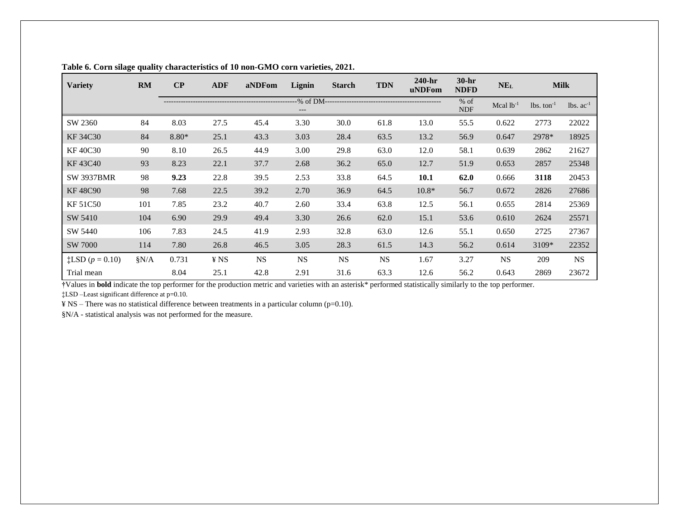| <b>Variety</b>                | <b>RM</b> | $\bf CP$ | <b>ADF</b> | aNDFom    | Lignin    | <b>Starch</b>                            | <b>TDN</b> | 240-hr<br>uNDFom | $30-hr$<br><b>NDFD</b> | NE <sub>L</sub> | <b>Milk</b>              |             |
|-------------------------------|-----------|----------|------------|-----------|-----------|------------------------------------------|------------|------------------|------------------------|-----------------|--------------------------|-------------|
|                               |           |          |            |           |           | -% of DM-------------------------------- |            |                  | $%$ of<br><b>NDF</b>   | Mcal $lb^{-1}$  | $lbs.$ ton <sup>-1</sup> | $lbs. ac-1$ |
| SW 2360                       | 84        | 8.03     | 27.5       | 45.4      | 3.30      | 30.0                                     | 61.8       | 13.0             | 55.5                   | 0.622           | 2773                     | 22022       |
| KF 34C30                      | 84        | $8.80*$  | 25.1       | 43.3      | 3.03      | 28.4                                     | 63.5       | 13.2             | 56.9                   | 0.647           | 2978*                    | 18925       |
| <b>KF40C30</b>                | 90        | 8.10     | 26.5       | 44.9      | 3.00      | 29.8                                     | 63.0       | 12.0             | 58.1                   | 0.639           | 2862                     | 21627       |
| KF43C40                       | 93        | 8.23     | 22.1       | 37.7      | 2.68      | 36.2                                     | 65.0       | 12.7             | 51.9                   | 0.653           | 2857                     | 25348       |
| <b>SW 3937BMR</b>             | 98        | 9.23     | 22.8       | 39.5      | 2.53      | 33.8                                     | 64.5       | 10.1             | 62.0                   | 0.666           | 3118                     | 20453       |
| <b>KF48C90</b>                | 98        | 7.68     | 22.5       | 39.2      | 2.70      | 36.9                                     | 64.5       | $10.8*$          | 56.7                   | 0.672           | 2826                     | 27686       |
| <b>KF 51C50</b>               | 101       | 7.85     | 23.2       | 40.7      | 2.60      | 33.4                                     | 63.8       | 12.5             | 56.1                   | 0.655           | 2814                     | 25369       |
| SW 5410                       | 104       | 6.90     | 29.9       | 49.4      | 3.30      | 26.6                                     | 62.0       | 15.1             | 53.6                   | 0.610           | 2624                     | 25571       |
| SW 5440                       | 106       | 7.83     | 24.5       | 41.9      | 2.93      | 32.8                                     | 63.0       | 12.6             | 55.1                   | 0.650           | 2725                     | 27367       |
| SW 7000                       | 114       | 7.80     | 26.8       | 46.5      | 3.05      | 28.3                                     | 61.5       | 14.3             | 56.2                   | 0.614           | 3109*                    | 22352       |
| $\ddagger$ LSD ( $p = 0.10$ ) | $\S N/A$  | 0.731    | ¥ NS       | <b>NS</b> | <b>NS</b> | <b>NS</b>                                | <b>NS</b>  | 1.67             | 3.27                   | <b>NS</b>       | 209                      | <b>NS</b>   |
| Trial mean                    |           | 8.04     | 25.1       | 42.8      | 2.91      | 31.6                                     | 63.3       | 12.6             | 56.2                   | 0.643           | 2869                     | 23672       |

#### **Table 6. Corn silage quality characteristics of 10 non-GMO corn varieties, 2021.**

**†**Values in **bold** indicate the top performer for the production metric and varieties with an asterisk\* performed statistically similarly to the top performer.

‡LSD –Least significant difference at p=0.10.

¥ NS – There was no statistical difference between treatments in a particular column (p=0.10).

§N/A - statistical analysis was not performed for the measure.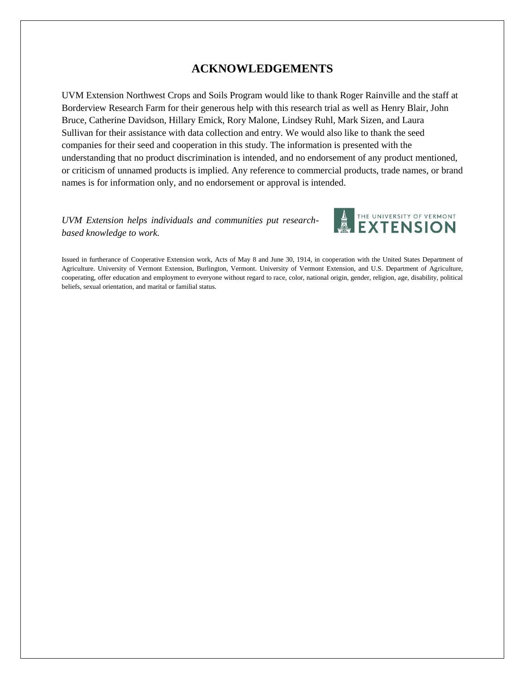## **ACKNOWLEDGEMENTS**

UVM Extension Northwest Crops and Soils Program would like to thank Roger Rainville and the staff at Borderview Research Farm for their generous help with this research trial as well as Henry Blair, John Bruce, Catherine Davidson, Hillary Emick, Rory Malone, Lindsey Ruhl, Mark Sizen, and Laura Sullivan for their assistance with data collection and entry. We would also like to thank the seed companies for their seed and cooperation in this study. The information is presented with the understanding that no product discrimination is intended, and no endorsement of any product mentioned, or criticism of unnamed products is implied. Any reference to commercial products, trade names, or brand names is for information only, and no endorsement or approval is intended.

*UVM Extension helps individuals and communities put researchbased knowledge to work.*



Issued in furtherance of Cooperative Extension work, Acts of May 8 and June 30, 1914, in cooperation with the United States Department of Agriculture. University of Vermont Extension, Burlington, Vermont. University of Vermont Extension, and U.S. Department of Agriculture, cooperating, offer education and employment to everyone without regard to race, color, national origin, gender, religion, age, disability, political beliefs, sexual orientation, and marital or familial status.